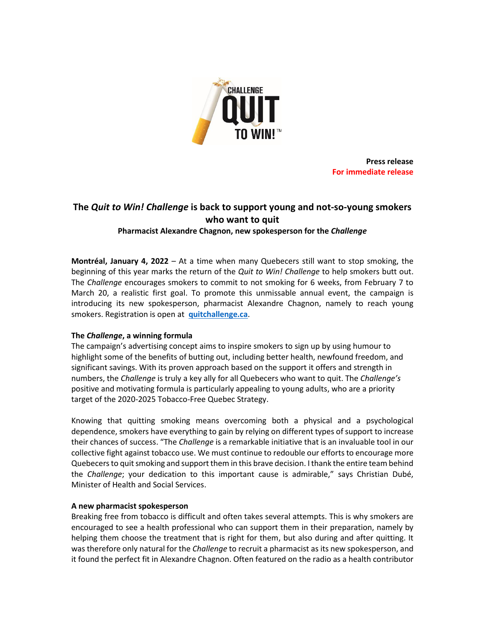

**Press release For immediate release**

# **The** *Quit to Win! Challenge* **is back to support young and not-so-young smokers who want to quit Pharmacist Alexandre Chagnon, new spokesperson for the** *Challenge*

**Montréal, January 4, 2022** – At a time when many Quebecers still want to stop smoking, the beginning of this year marks the return of the *Quit to Win! Challenge* to help smokers butt out. The *Challenge* encourages smokers to commit to not smoking for 6 weeks, from February 7 to March 20, a realistic first goal. To promote this unmissable annual event, the campaign is introducing its new spokesperson, pharmacist Alexandre Chagnon, namely to reach young smokers. Registration is open at **[quitchallenge.ca](https://quitchallenge.ca/)**.

# **The** *Challenge***, a winning formula**

The campaign's advertising concept aims to inspire smokers to sign up by using humour to highlight some of the benefits of butting out, including better health, newfound freedom, and significant savings. With its proven approach based on the support it offers and strength in numbers, the *Challenge* is truly a key ally for all Quebecers who want to quit. The *Challenge's* positive and motivating formula is particularly appealing to young adults, who are a priority target of the 2020-2025 Tobacco-Free Quebec Strategy.

Knowing that quitting smoking means overcoming both a physical and a psychological dependence, smokers have everything to gain by relying on different types of support to increase their chances of success. "The *Challenge* is a remarkable initiative that is an invaluable tool in our collective fight against tobacco use. We must continue to redouble our efforts to encourage more Quebecers to quit smoking and support them in this brave decision. I thank the entire team behind the *Challenge*; your dedication to this important cause is admirable," says Christian Dubé, Minister of Health and Social Services.

# **A new pharmacist spokesperson**

Breaking free from tobacco is difficult and often takes several attempts. This is why smokers are encouraged to see a health professional who can support them in their preparation, namely by helping them choose the treatment that is right for them, but also during and after quitting. It was therefore only natural for the *Challenge* to recruit a pharmacist as its new spokesperson, and it found the perfect fit in Alexandre Chagnon. Often featured on the radio as a health contributor